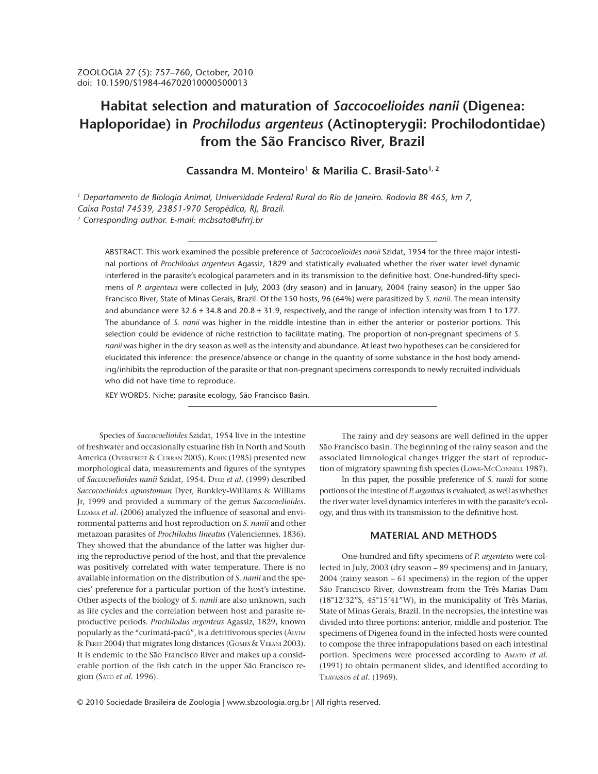# **Habitat selection and maturation of** *Saccocoelioides nanii* **(Digenea: Haploporidae) in** *Prochilodus argenteus* **(Actinopterygii: Prochilodontidae) from the São Francisco River, Brazil**

# **Cassandra M. Monteiro1 & Marilia C. Brasil-Sato1, 2**

*1 Departamento de Biologia Animal, Universidade Federal Rural do Rio de Janeiro. Rodovia BR 465, km 7, Caixa Postal 74539, 23851-970 Seropédica, RJ, Brazil. 2 Corresponding author. E-mail: mcbsato@ufrrj.br*

ABSTRACT. This work examined the possible preference of *Saccocoelioides nanii* Szidat, 1954 for the three major intestinal portions of *Prochilodus argenteus* Agassiz, 1829 and statistically evaluated whether the river water level dynamic interfered in the parasite's ecological parameters and in its transmission to the definitive host. One-hundred-fifty specimens of *P. argenteus* were collected in July, 2003 (dry season) and in January, 2004 (rainy season) in the upper São Francisco River, State of Minas Gerais, Brazil. Of the 150 hosts, 96 (64%) were parasitized by *S. nanii.* The mean intensity and abundance were  $32.6 \pm 34.8$  and  $20.8 \pm 31.9$ , respectively, and the range of infection intensity was from 1 to 177. The abundance of *S. nanii* was higher in the middle intestine than in either the anterior or posterior portions. This selection could be evidence of niche restriction to facilitate mating. The proportion of non-pregnant specimens of *S. nanii* was higher in the dry season as well as the intensity and abundance. At least two hypotheses can be considered for elucidated this inference: the presence/absence or change in the quantity of some substance in the host body amending/inhibits the reproduction of the parasite or that non-pregnant specimens corresponds to newly recruited individuals who did not have time to reproduce.

KEY WORDS. Niche; parasite ecology, São Francisco Basin.

Species of *Saccocoelioides* Szidat, 1954 live in the intestine of freshwater and occasionally estuarine fish in North and South America (OVERSTREET & CURRAN 2005). KOHN (1985) presented new morphological data, measurements and figures of the syntypes of *Saccocoelioides nanii* Szidat, 1954. DYER *et al.* (1999) described *Saccocoelioides agnostomun* Dyer, Bunkley-Williams & Williams Jr, 1999 and provided a summary of the genus *Saccocoelioides*. LIZAMA *et al.* (2006) analyzed the influence of seasonal and environmental patterns and host reproduction on *S. nanii* and other metazoan parasites of *Prochilodus lineatus* (Valenciennes, 1836). They showed that the abundance of the latter was higher during the reproductive period of the host, and that the prevalence was positively correlated with water temperature. There is no available information on the distribution of *S. nanii* and the species' preference for a particular portion of the host's intestine. Other aspects of the biology of *S. nanii* are also unknown, such as life cycles and the correlation between host and parasite reproductive periods. *Prochilodus argenteus* Agassiz, 1829, known popularly as the "curimatá-pacú", is a detritivorous species (ALVIM & PERET 2004) that migrates long distances (GOMES & VERANI 2003). It is endemic to the São Francisco River and makes up a considerable portion of the fish catch in the upper São Francisco region (SATO *et al.* 1996).

The rainy and dry seasons are well defined in the upper São Francisco basin. The beginning of the rainy season and the associated limnological changes trigger the start of reproduction of migratory spawning fish species (LOWE-MCCONNELL 1987).

In this paper, the possible preference of *S. nanii* for some portions of the intestine of *P. argenteus* is evaluated, as well as whether the river water level dynamics interferes in with the parasite's ecology, and thus with its transmission to the definitive host.

#### **MATERIAL AND METHODS**

One-hundred and fifty specimens of *P. argenteus* were collected in July, 2003 (dry season – 89 specimens) and in January, 2004 (rainy season – 61 specimens) in the region of the upper São Francisco River, downstream from the Três Marias Dam (18°12'32"S, 45°15'41"W), in the municipality of Três Marias, State of Minas Gerais, Brazil. In the necropsies, the intestine was divided into three portions: anterior, middle and posterior. The specimens of Digenea found in the infected hosts were counted to compose the three infrapopulations based on each intestinal portion. Specimens were processed according to AMATO *et al.* (1991) to obtain permanent slides, and identified according to TRAVASSOS *et al.* (1969).

© 2010 Sociedade Brasileira de Zoologia | www.sbzoologia.org.br | All rights reserved.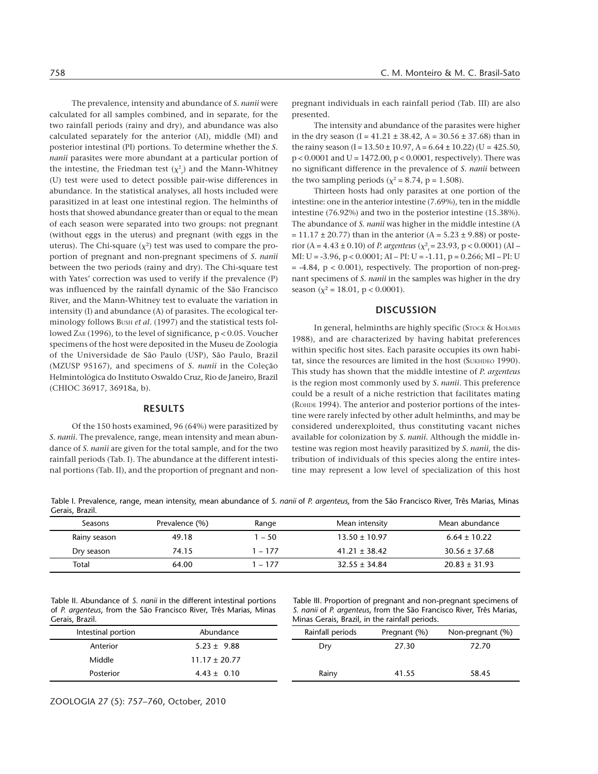The prevalence, intensity and abundance of *S. nanii* were calculated for all samples combined, and in separate, for the two rainfall periods (rainy and dry), and abundance was also calculated separately for the anterior (AI), middle (MI) and posterior intestinal (PI) portions. To determine whether the *S. nanii* parasites were more abundant at a particular portion of the intestine, the Friedman test  $(\chi^2_{r})$  and the Mann-Whitney (U) test were used to detect possible pair-wise differences in abundance. In the statistical analyses, all hosts included were parasitized in at least one intestinal region. The helminths of hosts that showed abundance greater than or equal to the mean of each season were separated into two groups: not pregnant (without eggs in the uterus) and pregnant (with eggs in the uterus). The Chi-square  $(\chi^2)$  test was used to compare the proportion of pregnant and non-pregnant specimens of *S. nanii* between the two periods (rainy and dry). The Chi-square test with Yates' correction was used to verify if the prevalence (P) was influenced by the rainfall dynamic of the São Francisco River, and the Mann-Whitney test to evaluate the variation in intensity (I) and abundance (A) of parasites. The ecological terminology follows BUSH *et al.* (1997) and the statistical tests followed ZAR (1996), to the level of significance, p < 0.05. Voucher specimens of the host were deposited in the Museu de Zoologia of the Universidade de São Paulo (USP), São Paulo, Brazil (MZUSP 95167), and specimens of *S. nanii* in the Coleção Helmintológica do Instituto Oswaldo Cruz, Rio de Janeiro, Brazil (CHIOC 36917, 36918a, b).

#### **RESULTS**

Of the 150 hosts examined, 96 (64%) were parasitized by *S. nanii.* The prevalence, range, mean intensity and mean abundance of *S. nanii* are given for the total sample, and for the two rainfall periods (Tab. I). The abundance at the different intestinal portions (Tab. II), and the proportion of pregnant and nonpregnant individuals in each rainfall period (Tab. III) are also presented.

The intensity and abundance of the parasites were higher in the dry season (I =  $41.21 \pm 38.42$ , A =  $30.56 \pm 37.68$ ) than in the rainy season  $(I = 13.50 \pm 10.97$ ,  $A = 6.64 \pm 10.22$   $(U = 425.50$ , p < 0.0001 and U = 1472.00, p < 0.0001, respectively). There was no significant difference in the prevalence of *S. nanii* between the two sampling periods ( $\chi^2$  = 8.74, p = 1.508).

Thirteen hosts had only parasites at one portion of the intestine: one in the anterior intestine (7.69%), ten in the middle intestine (76.92%) and two in the posterior intestine (15.38%). The abundance of *S. nanii* was higher in the middle intestine (A  $= 11.17 \pm 20.77$ ) than in the anterior (A = 5.23  $\pm$  9.88) or posterior (A =  $4.43 \pm 0.10$ ) of *P. argenteus* ( $\chi^2$ <sub>r</sub> = 23.93, p < 0.0001) (AI – MI: U = -3.96, p < 0.0001; AI – PI: U = -1.11, p = 0.266; MI – PI: U  $= -4.84$ ,  $p < 0.001$ ), respectively. The proportion of non-pregnant specimens of *S. nanii* in the samples was higher in the dry season ( $\chi^2$  = 18.01, p < 0.0001).

#### **DISCUSSION**

In general, helminths are highly specific (STOCK & HOLMES 1988), and are characterized by having habitat preferences within specific host sites. Each parasite occupies its own habitat, since the resources are limited in the host (SUKHDEO 1990). This study has shown that the middle intestine of *P. argenteus* is the region most commonly used by *S. nanii*. This preference could be a result of a niche restriction that facilitates mating (ROHDE 1994). The anterior and posterior portions of the intestine were rarely infected by other adult helminths, and may be considered underexploited, thus constituting vacant niches available for colonization by *S. nanii.* Although the middle intestine was region most heavily parasitized by *S. nanii,* the distribution of individuals of this species along the entire intestine may represent a low level of specialization of this host

Table I. Prevalence, range, mean intensity, mean abundance of *S. nanii* of *P. argenteus*, from the São Francisco River, Três Marias, Minas Gerais, Brazil.

| Seasons      | Prevalence (%) | Range  | Mean intensity    | Mean abundance    |
|--------------|----------------|--------|-------------------|-------------------|
| Rainy season | 49.18          | l – 50 | $13.50 \pm 10.97$ | $6.64 \pm 10.22$  |
| Dry season   | 74.15          | $-177$ | $41.21 \pm 38.42$ | $30.56 \pm 37.68$ |
| Total        | 64.00          | - 177  | $32.55 \pm 34.84$ | $20.83 \pm 31.93$ |

Table II. Abundance of *S. nanii* in the different intestinal portions of *P. argenteus*, from the São Francisco River, Três Marias, Minas Gerais, Brazil.

Table III. Proportion of pregnant and non-pregnant specimens of *S. nanii* of *P. argenteus*, from the São Francisco River, Três Marias, Minas Gerais, Brazil, in the rainfall periods.

| OCTUD, DIUZII.     |                   | TVIIITAS OCTAIS, BTAZII, IIT GTC TAITHAIT PCTIOQS. |              |                  |  |
|--------------------|-------------------|----------------------------------------------------|--------------|------------------|--|
| Intestinal portion | Abundance         | Rainfall periods                                   | Pregnant (%) | Non-pregnant (%) |  |
| Anterior           | $5.23 \pm 9.88$   | Dry                                                | 27.30        | 72.70            |  |
| Middle             | $11.17 \pm 20.77$ |                                                    |              |                  |  |
| Posterior          | $4.43 \pm 0.10$   | Rainy                                              | 41.55        | 58.45            |  |
|                    |                   |                                                    |              |                  |  |

ZOOLOGIA 27 (5): 757–760, October, 2010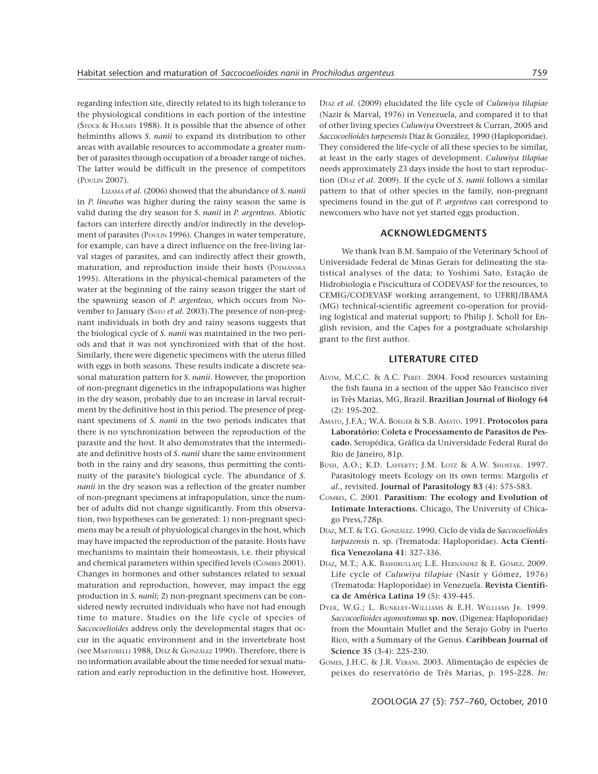regarding infection site, directly related to its high tolerance to the physiological conditions in each portion of the intestine (STOCK & HOLMES 1988). It is possible that the absence of other helminths allows *S. nanii* to expand its distribution to other areas with available resources to accommodate a greater number of parasites through occupation of a broader range of niches. The latter would be difficult in the presence of competitors (POULIN 2007).

 LIZAMA *et al.* (2006) showed that the abundance of *S. nanii* in *P. lineatus* was higher during the rainy season the same is valid during the dry season for *S. nanii* in *P. argenteus.* Abiotic factors can interfere directly and/or indirectly in the development of parasites (POULIN 1996)*.* Changes in water temperature, for example, can have a direct influence on the free-living larval stages of parasites, and can indirectly affect their growth, maturation, and reproduction inside their hosts (POJMÁNSKA 1995). Alterations in the physical-chemical parameters of the water at the beginning of the rainy season trigger the start of the spawning season of *P. argenteus,* which occurs from November to January (SATO *et al.* 2003)*.*The presence of non-pregnant individuals in both dry and rainy seasons suggests that the biological cycle of *S. nanii* was maintained in the two periods and that it was not synchronized with that of the host. Similarly, there were digenetic specimens with the uterus filled with eggs in both seasons. These results indicate a discrete seasonal maturation pattern for *S. nanii*. However, the proportion of non-pregnant digenetics in the infrapopulations was higher in the dry season, probably due to an increase in larval recruitment by the definitive host in this period. The presence of pregnant specimens of *S. nanii* in the two periods indicates that there is no synchronization between the reproduction of the parasite and the host. It also demonstrates that the intermediate and definitive hosts of *S. nanii* share the same environment both in the rainy and dry seasons, thus permitting the continuity of the parasite's biological cycle. The abundance of *S. nanii* in the dry season was a reflection of the greater number of non-pregnant specimens at infrapopulation, since the number of adults did not change significantly. From this observation, two hypotheses can be generated: 1) non-pregnant specimens may be a result of physiological changes in the host, which may have impacted the reproduction of the parasite. Hosts have mechanisms to maintain their homeostasis, i.e. their physical and chemical parameters within specified levels (COMBES 2001). Changes in hormones and other substances related to sexual maturation and reproduction, however, may impact the egg production in *S. nanii*; 2) non-pregnant specimens can be considered newly recruited individuals who have not had enough time to mature. Studies on the life cycle of species of *Saccocoelioides* address only the developmental stages that occur in the aquatic environment and in the invertebrate host (see MARTORELLI 1988, DÍAZ & GONZÁLEZ 1990). Therefore, there is no information available about the time needed for sexual maturation and early reproduction in the definitive host. However,

DÍAZ *et al.* (2009) elucidated the life cycle of *Culuwiya tilapiae* (Nazir & Marval, 1976) in Venezuela, and compared it to that of other living species *Culuwiya* Overstreet & Curran, 2005 and *Saccocoelioides tarpesensis* Díaz & González, 1990 (Haploporidae). They considered the life-cycle of all these species to be similar, at least in the early stages of development. *Culuwiya tilapiae* needs approximately 23 days inside the host to start reproduction (DÍAZ *et al.* 2009). If the cycle of *S. nanii* follows a similar pattern to that of other species in the family, non-pregnant specimens found in the gut of *P. argenteus* can correspond to newcomers who have not yet started eggs production.

## **ACKNOWLEDGMENTS**

We thank Ivan B.M. Sampaio of the Veterinary School of Universidade Federal de Minas Gerais for delineating the statistical analyses of the data; to Yoshimi Sato, Estação de Hidrobiologia e Piscicultura of CODEVASF for the resources, to CEMIG/CODEVASF working arrangement, to UFRRJ/IBAMA (MG) technical-scientific agreement co-operation for providing logistical and material support; to Philip J. Scholl for English revision, and the Capes for a postgraduate scholarship grant to the first author.

## **LITERATURE CITED**

- ALVIM, M.C.C. & A.C. PERET. 2004. Food resources sustaining the fish fauna in a section of the upper São Francisco river in Três Marias, MG, Brazil. **Brazilian Journal of Biology 64** (2): 195-202.
- AMATO, J.F.A.; W.A. BOEGER & S.B. AMATO. 1991. **Protocolos para Laboratório: Coleta e Processamento de Parasitos de Pescado.** Seropédica, Gráfica da Universidade Federal Rural do Rio de Janeiro, 81p.
- BUSH, A.O.; K.D. LAFFERTY; J.M. LOTZ & A.W. SHOSTAK. 1997. Parasitology meets Ecology on its own terms: Margolis *et al.*, revisited. **Journal of Parasitology 83** (4): 575-583.
- COMBES, C. 2001. **Parasitism: The ecology and Evolution of Intimate Interactions.** Chicago, The University of Chicago Press,728p.
- DÍAZ, M.T. & T.G. GONZÁLEZ. 1990. Ciclo de vida de *Saccocoelioides tarpazensis* n. sp. (Trematoda: Haploporidae). **Acta Científica Venezolana 41**: 327-336.
- DÍAZ, M.T.; A.K. BASHIRULLAH; L.E. HERNÁNDEZ & E. GÓMEZ. 2009. Life cycle of *Culuwiya tilapiae* (Nasir y Gómez, 1976) (Trematoda: Haploporidae) in Venezuela. **Revista Científica de América Latina 19** (5): 439-445.
- DYER, W.G.; L. BUNKLEY-WILLIAMS & E.H. WILLIAMS JR. 1999. *Saccocoelioides agonostomus* **sp. nov.** (Digenea: Haploporidae) from the Mountain Mullet and the Serajo Goby in Puerto Rico, with a Summary of the Genus. **Caribbean Journal of Science 35** (3-4): 225-230.
- GOMES, J.H.C. & J.R. VERANI. 2003. Alimentação de espécies de peixes do reservatório de Três Marias, p. 195-228. *In:*

ZOOLOGIA 27 (5): 757–760, October, 2010